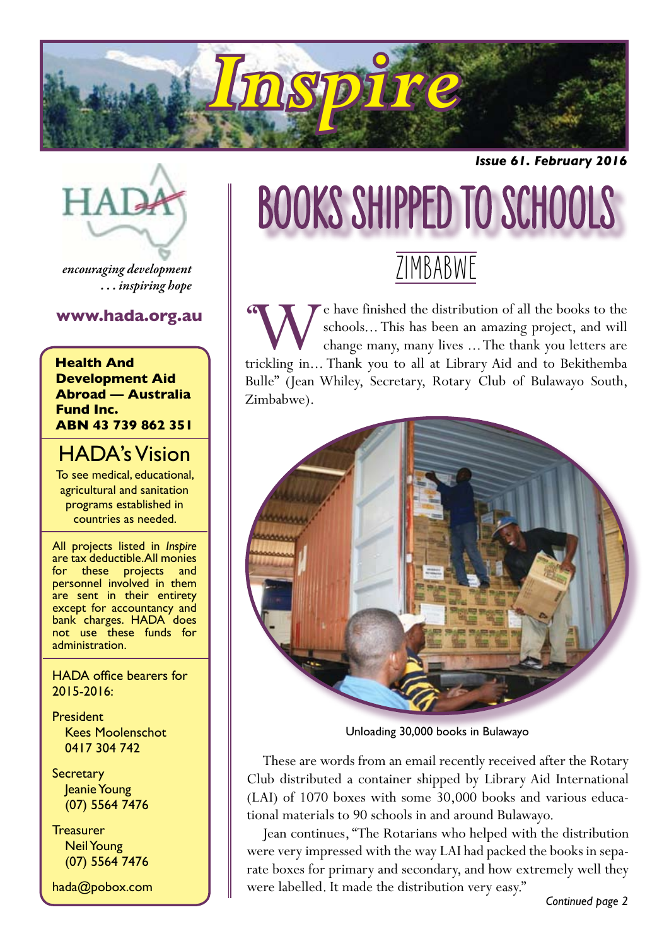

*Issue 61. February 2016*



*encouraging development . . . inspiring hope*

#### **www.hada.org.au**

**Health And Development Aid Abroad — Australia Fund Inc. ABN 43 739 862 351**

#### HADA's Vision

To see medical, educational, agricultural and sanitation programs established in countries as needed.

All projects listed in *Inspire* are tax deductible. All monies for these projects and personnel involved in them are sent in their entirety except for accountancy and bank charges. HADA does not use these funds for administration.

HADA office bearers for 2015-2016:

President Kees Moolenschot 0417 304 742

**Secretary** Jeanie Young (07) 5564 7476

**Treasurer** Neil Young (07) 5564 7476

hada@pobox.com

# BOOKS SHIPPED TO SCHOOLS

### **ZIMBABWE**

**EXECU FOR A SET AND SCHOOLS...** This has been an amazing project, and will change many, many lives ... The thank you letters are trickling in... Thank you to all at Library Aid and to Bekithemba schools... This has been an amazing project, and will change many, many lives ... The thank you letters are Bulle" (Jean Whiley, Secretary, Rotary Club of Bulawayo South, Zimbabwe). **''**



Unloading 30,000 books in Bulawayo

These are words from an email recently received after the Rotary Club distributed a container shipped by Library Aid International (LAI) of 1070 boxes with some 30,000 books and various educational materials to 90 schools in and around Bulawayo.

Jean continues, "The Rotarians who helped with the distribution were very impressed with the way LAI had packed the books in separate boxes for primary and secondary, and how extremely well they were labelled. It made the distribution very easy."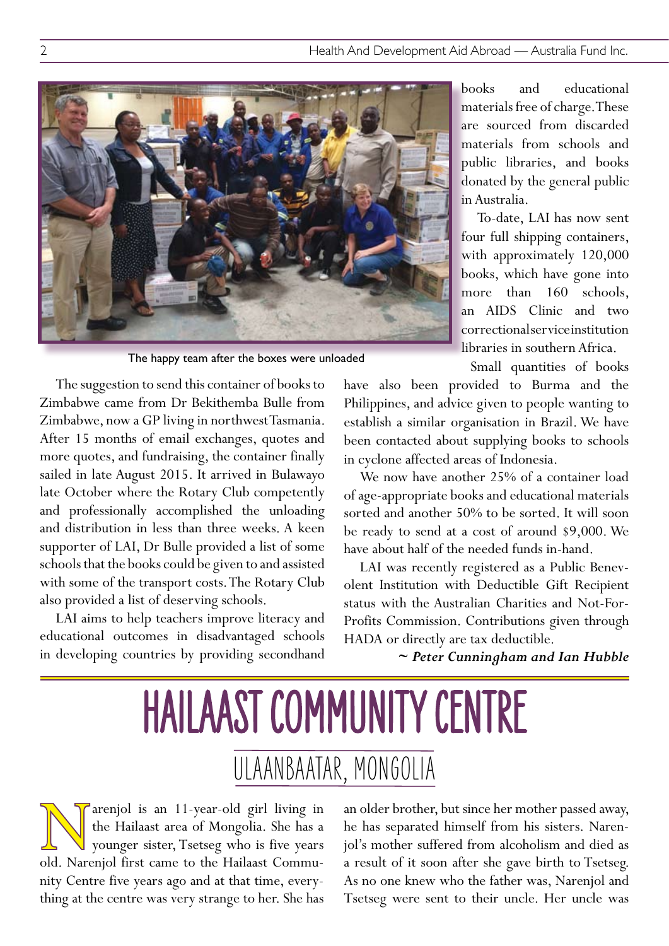

The happy team after the boxes were unloaded

The suggestion to send this container of books to Zimbabwe came from Dr Bekithemba Bulle from Zimbabwe, now a GP living in northwest Tasmania. After 15 months of email exchanges, quotes and more quotes, and fundraising, the container finally sailed in late August 2015. It arrived in Bulawayo late October where the Rotary Club competently and professionally accomplished the unloading and distribution in less than three weeks. A keen supporter of LAI, Dr Bulle provided a list of some schools that the books could be given to and assisted with some of the transport costs. The Rotary Club also provided a list of deserving schools.

LAI aims to help teachers improve literacy and educational outcomes in disadvantaged schools in developing countries by providing secondhand books and educational materials free of charge. These are sourced from discarded materials from schools and public libraries, and books donated by the general public in Australia.

To-date, LAI has now sent four full shipping containers, with approximately 120,000 books, which have gone into more than 160 schools, an AIDS Clinic and two correctional service institution libraries in southern Africa.

Small quantities of books

have also been provided to Burma and the Philippines, and advice given to people wanting to establish a similar organisation in Brazil. We have been contacted about supplying books to schools in cyclone affected areas of Indonesia.

We now have another 25% of a container load of age-appropriate books and educational materials sorted and another 50% to be sorted. It will soon be ready to send at a cost of around \$9,000. We have about half of the needed funds in-hand.

LAI was recently registered as a Public Benevolent Institution with Deductible Gift Recipient status with the Australian Charities and Not-For-Profits Commission. Contributions given through HADA or directly are tax deductible.

*~ Peter Cunningham and Ian Hubble*

### HAILAAST COMMUNITY CENTRE ULAANBAATAR, MONGOLIA

Tarenjol is an 11-year-old girl living in the Hailaast area of Mongolia. She has a younger sister, Tsetseg who is five years old. Narenjol first came to the Hailaast Commuthe Hailaast area of Mongolia. She has a younger sister, Tsetseg who is five years old. Narenjol first came to the Hailaast Community Centre five years ago and at that time, everything at the centre was very strange to her. She has

an older brother, but since her mother passed away, he has separated himself from his sisters. Narenjol's mother suffered from alcoholism and died as a result of it soon after she gave birth to Tsetseg. As no one knew who the father was, Narenjol and Tsetseg were sent to their uncle. Her uncle was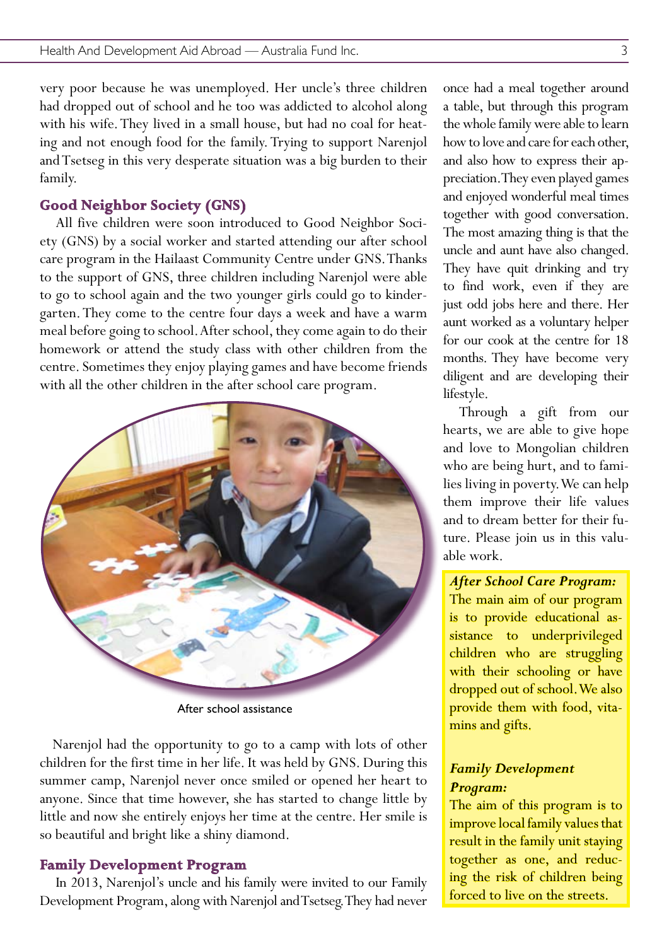very poor because he was unemployed. Her uncle's three children had dropped out of school and he too was addicted to alcohol along with his wife. They lived in a small house, but had no coal for heating and not enough food for the family. Trying to support Narenjol and Tsetseg in this very desperate situation was a big burden to their family.

#### **Good Neighbor Society (GNS)**

All five children were soon introduced to Good Neighbor Society (GNS) by a social worker and started attending our after school care program in the Hailaast Community Centre under GNS. Thanks to the support of GNS, three children including Narenjol were able to go to school again and the two younger girls could go to kindergarten. They come to the centre four days a week and have a warm meal before going to school. After school, they come again to do their homework or attend the study class with other children from the centre. Sometimes they enjoy playing games and have become friends with all the other children in the after school care program.



After school assistance

Narenjol had the opportunity to go to a camp with lots of other children for the first time in her life. It was held by GNS. During this summer camp, Narenjol never once smiled or opened her heart to anyone. Since that time however, she has started to change little by little and now she entirely enjoys her time at the centre. Her smile is so beautiful and bright like a shiny diamond.

#### **Family Development Program**

In 2013, Narenjol's uncle and his family were invited to our Family Development Program, along with Narenjol and Tsetseg. They had never

once had a meal together around a table, but through this program the whole family were able to learn how to love and care for each other, and also how to express their appreciation. They even played games and enjoyed wonderful meal times together with good conversation. The most amazing thing is that the uncle and aunt have also changed. They have quit drinking and try to find work, even if they are just odd jobs here and there. Her aunt worked as a voluntary helper for our cook at the centre for 18 months. They have become very diligent and are developing their lifestyle.

Through a gift from our hearts, we are able to give hope and love to Mongolian children who are being hurt, and to families living in poverty. We can help them improve their life values and to dream better for their future. Please join us in this valuable work.

#### *After School Care Program:*

The main aim of our program is to provide educational assistance to underprivileged children who are struggling with their schooling or have dropped out of school. We also provide them with food, vitamins and gifts.

#### *Family Development Program:*

The aim of this program is to improve local family values that result in the family unit staying together as one, and reducing the risk of children being forced to live on the streets.